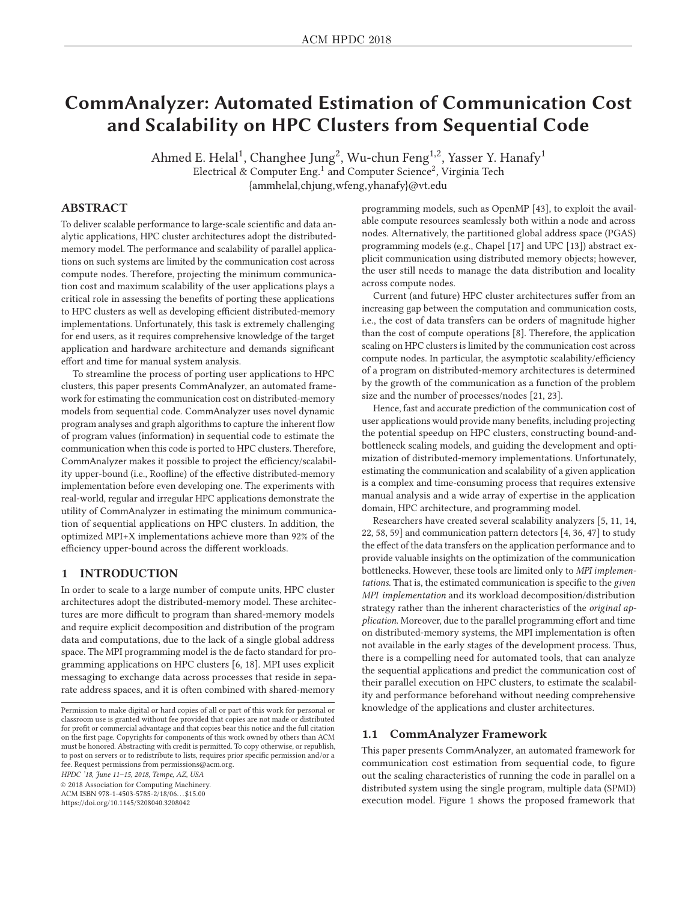# **CommAnalyzer: Automated Estimation of Communication Cost and Scalability on HPC Clusters from Sequential Code**

Ahmed E. Helal<sup>1</sup>, Changhee Jung<sup>2</sup>, Wu-chun Feng<sup>1,2</sup>, Yasser Y. Hanafy<sup>1</sup> Electrical & Computer Eng.<sup>1</sup> and Computer Science<sup>2</sup>, Virginia Tech

{ammhelal,chjung,wfeng,yhanafy}@vt.edu

# **ABSTRACT**

To deliver scalable performance to large-scale scientific and data analytic applications, HPC cluster architectures adopt the distributedmemory model. The performance and scalability of parallel applications on such systems are limited by the communication cost across compute nodes. Therefore, projecting the minimum communication cost and maximum scalability of the user applications plays a critical role in assessing the benefits of porting these applications to HPC clusters as well as developing efficient distributed-memory implementations. Unfortunately, this task is extremely challenging for end users, as it requires comprehensive knowledge of the target application and hardware architecture and demands significant effort and time for manual system analysis.

To streamline the process of porting user applications to HPC clusters, this paper presents CommAnalyzer, an automated framework for estimating the communication cost on distributed-memory models from sequential code. CommAnalyzer uses novel dynamic program analyses and graph algorithms to capture the inherent flow of program values (information) in sequential code to estimate the communication when this code is ported to HPC clusters. Therefore, CommAnalyzer makes it possible to project the efficiency/scalability upper-bound (i.e., Roofline) of the effective distributed-memory implementation before even developing one. The experiments with real-world, regular and irregular HPC applications demonstrate the utility of CommAnalyzer in estimating the minimum communication of sequential applications on HPC clusters. In addition, the optimized MPI+X implementations achieve more than 92% of the efficiency upper-bound across the different workloads.

## **1 INTRODUCTION**

In order to scale to a large number of compute units, HPC cluster architectures adopt the distributed-memory model. These architectures are more difficult to program than shared-memory models and require explicit decomposition and distribution of the program data and computations, due to the lack of a single global address space. The MPI programming model is the de facto standard for programming applications on HPC clusters [6, 18]. MPI uses explicit messaging to exchange data across processes that reside in separate address spaces, and it is often combined with shared-memory

*HPDC '18, June 11–15, 2018, Tempe, AZ, USA*

© 2018 Association for Computing Machinery.

ACM ISBN 978-1-4503-5785-2/18/06. . . \$15.00 https://doi.org/10.1145/3208040.3208042

programming models, such as OpenMP [43], to exploit the available compute resources seamlessly both within a node and across nodes. Alternatively, the partitioned global address space (PGAS) programming models (e.g., Chapel [17] and UPC [13]) abstract explicit communication using distributed memory objects; however, the user still needs to manage the data distribution and locality across compute nodes.

Current (and future) HPC cluster architectures suffer from an increasing gap between the computation and communication costs, i.e., the cost of data transfers can be orders of magnitude higher than the cost of compute operations [8]. Therefore, the application scaling on HPC clusters is limited by the communication cost across compute nodes. In particular, the asymptotic scalability/efficiency of a program on distributed-memory architectures is determined by the growth of the communication as a function of the problem size and the number of processes/nodes [21, 23].

Hence, fast and accurate prediction of the communication cost of user applications would provide many benefits, including projecting the potential speedup on HPC clusters, constructing bound-andbottleneck scaling models, and guiding the development and optimization of distributed-memory implementations. Unfortunately, estimating the communication and scalability of a given application is a complex and time-consuming process that requires extensive manual analysis and a wide array of expertise in the application domain, HPC architecture, and programming model.

Researchers have created several scalability analyzers [5, 11, 14, 22, 58, 59] and communication pattern detectors [4, 36, 47] to study the effect of the data transfers on the application performance and to provide valuable insights on the optimization of the communication bottlenecks. However, these tools are limited only to *MPI implementations*. That is, the estimated communication is specific to the *given MPI implementation* and its workload decomposition/distribution strategy rather than the inherent characteristics of the *original application*. Moreover, due to the parallel programming effort and time on distributed-memory systems, the MPI implementation is often not available in the early stages of the development process. Thus, there is a compelling need for automated tools, that can analyze the sequential applications and predict the communication cost of their parallel execution on HPC clusters, to estimate the scalability and performance beforehand without needing comprehensive knowledge of the applications and cluster architectures.

#### **1.1 CommAnalyzer Framework**

This paper presents CommAnalyzer, an automated framework for communication cost estimation from sequential code, to figure out the scaling characteristics of running the code in parallel on a distributed system using the single program, multiple data (SPMD) execution model. Figure 1 shows the proposed framework that

Permission to make digital or hard copies of all or part of this work for personal or classroom use is granted without fee provided that copies are not made or distributed for profit or commercial advantage and that copies bear this notice and the full citation on the first page. Copyrights for components of this work owned by others than ACM must be honored. Abstracting with credit is permitted. To copy otherwise, or republish, to post on servers or to redistribute to lists, requires prior specific permission and/or a fee. Request permissions from permissions@acm.org.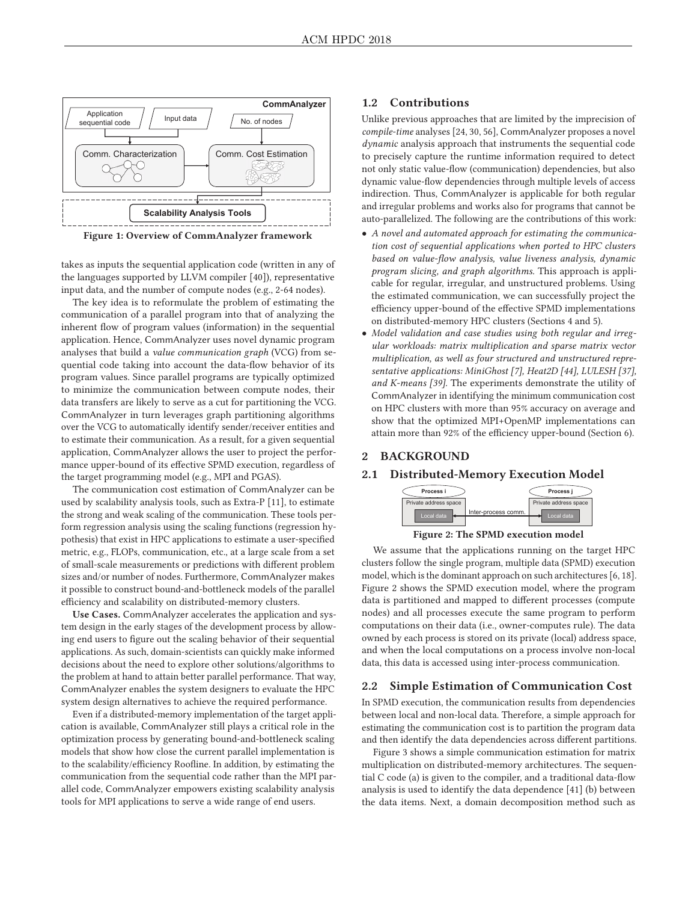

**Figure 1: Overview of CommAnalyzer framework**

takes as inputs the sequential application code (written in any of the languages supported by LLVM compiler [40]), representative input data, and the number of compute nodes (e.g., 2-64 nodes).

The key idea is to reformulate the problem of estimating the communication of a parallel program into that of analyzing the inherent flow of program values (information) in the sequential application. Hence, CommAnalyzer uses novel dynamic program analyses that build a *value communication graph* (VCG) from sequential code taking into account the data-flow behavior of its program values. Since parallel programs are typically optimized to minimize the communication between compute nodes, their data transfers are likely to serve as a cut for partitioning the VCG. CommAnalyzer in turn leverages graph partitioning algorithms over the VCG to automatically identify sender/receiver entities and to estimate their communication. As a result, for a given sequential application, CommAnalyzer allows the user to project the performance upper-bound of its effective SPMD execution, regardless of the target programming model (e.g., MPI and PGAS).

The communication cost estimation of CommAnalyzer can be used by scalability analysis tools, such as Extra-P [11], to estimate the strong and weak scaling of the communication. These tools perform regression analysis using the scaling functions (regression hypothesis) that exist in HPC applications to estimate a user-specified metric, e.g., FLOPs, communication, etc., at a large scale from a set of small-scale measurements or predictions with different problem sizes and/or number of nodes. Furthermore, CommAnalyzer makes it possible to construct bound-and-bottleneck models of the parallel efficiency and scalability on distributed-memory clusters.

**Use Cases.** CommAnalyzer accelerates the application and system design in the early stages of the development process by allowing end users to figure out the scaling behavior of their sequential applications. As such, domain-scientists can quickly make informed decisions about the need to explore other solutions/algorithms to the problem at hand to attain better parallel performance. That way, CommAnalyzer enables the system designers to evaluate the HPC system design alternatives to achieve the required performance.

Even if a distributed-memory implementation of the target application is available, CommAnalyzer still plays a critical role in the optimization process by generating bound-and-bottleneck scaling models that show how close the current parallel implementation is to the scalability/efficiency Roofline. In addition, by estimating the communication from the sequential code rather than the MPI parallel code, CommAnalyzer empowers existing scalability analysis tools for MPI applications to serve a wide range of end users.

#### **1.2 Contributions**

Unlike previous approaches that are limited by the imprecision of *compile-time* analyses [24, 30, 56], CommAnalyzer proposes a novel *dynamic* analysis approach that instruments the sequential code to precisely capture the runtime information required to detect not only static value-flow (communication) dependencies, but also dynamic value-flow dependencies through multiple levels of access indirection. Thus, CommAnalyzer is applicable for both regular and irregular problems and works also for programs that cannot be auto-parallelized. The following are the contributions of this work:

- *A novel and automated approach for estimating the communication cost of sequential applications when ported to HPC clusters based on value-flow analysis, value liveness analysis, dynamic program slicing, and graph algorithms.* This approach is applicable for regular, irregular, and unstructured problems. Using the estimated communication, we can successfully project the efficiency upper-bound of the effective SPMD implementations on distributed-memory HPC clusters (Sections 4 and 5).
- *Model validation and case studies using both regular and irregular workloads: matrix multiplication and sparse matrix vector multiplication, as well as four structured and unstructured representative applications: MiniGhost [7], Heat2D [44], LULESH [37], and K-means [39].* The experiments demonstrate the utility of CommAnalyzer in identifying the minimum communication cost on HPC clusters with more than 95% accuracy on average and show that the optimized MPI+OpenMP implementations can attain more than 92% of the efficiency upper-bound (Section 6).

#### **2 BACKGROUND**

#### **2.1 Distributed-Memory Execution Model**



**Figure 2: The SPMD execution model**

We assume that the applications running on the target HPC clusters follow the single program, multiple data (SPMD) execution model, which is the dominant approach on such architectures [6, 18]. Figure 2 shows the SPMD execution model, where the program data is partitioned and mapped to different processes (compute nodes) and all processes execute the same program to perform computations on their data (i.e., owner-computes rule). The data owned by each process is stored on its private (local) address space, and when the local computations on a process involve non-local data, this data is accessed using inter-process communication.

## **2.2 Simple Estimation of Communication Cost**

In SPMD execution, the communication results from dependencies between local and non-local data. Therefore, a simple approach for estimating the communication cost is to partition the program data and then identify the data dependencies across different partitions.

Figure 3 shows a simple communication estimation for matrix multiplication on distributed-memory architectures. The sequential C code (a) is given to the compiler, and a traditional data-flow analysis is used to identify the data dependence [41] (b) between the data items. Next, a domain decomposition method such as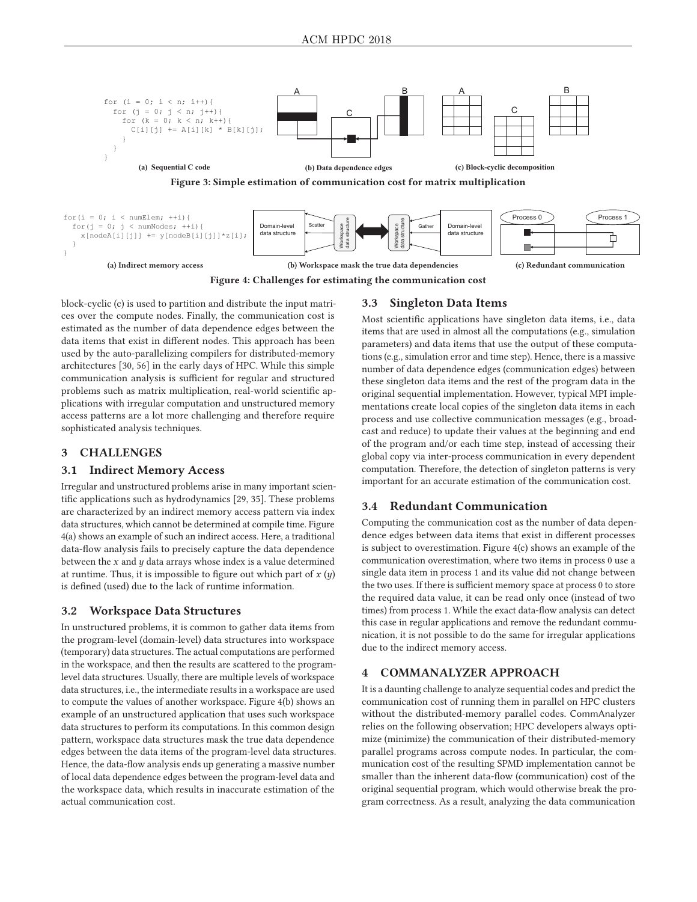#### ACM HPDC 2018





**Figure 4: Challenges for estimating the communication cost**

block-cyclic (c) is used to partition and distribute the input matrices over the compute nodes. Finally, the communication cost is estimated as the number of data dependence edges between the data items that exist in different nodes. This approach has been used by the auto-parallelizing compilers for distributed-memory architectures [30, 56] in the early days of HPC. While this simple communication analysis is sufficient for regular and structured problems such as matrix multiplication, real-world scientific applications with irregular computation and unstructured memory access patterns are a lot more challenging and therefore require sophisticated analysis techniques.

# **3 CHALLENGES**

## **3.1 Indirect Memory Access**

Irregular and unstructured problems arise in many important scientific applications such as hydrodynamics [29, 35]. These problems are characterized by an indirect memory access pattern via index data structures, which cannot be determined at compile time. Figure 4(a) shows an example of such an indirect access. Here, a traditional data-flow analysis fails to precisely capture the data dependence between the  $x$  and  $y$  data arrays whose index is a value determined at runtime. Thus, it is impossible to figure out which part of  $x(y)$ is defined (used) due to the lack of runtime information.

# **3.2 Workspace Data Structures**

In unstructured problems, it is common to gather data items from the program-level (domain-level) data structures into workspace (temporary) data structures. The actual computations are performed in the workspace, and then the results are scattered to the programlevel data structures. Usually, there are multiple levels of workspace data structures, i.e., the intermediate results in a workspace are used to compute the values of another workspace. Figure 4(b) shows an example of an unstructured application that uses such workspace data structures to perform its computations. In this common design pattern, workspace data structures mask the true data dependence edges between the data items of the program-level data structures. Hence, the data-flow analysis ends up generating a massive number of local data dependence edges between the program-level data and the workspace data, which results in inaccurate estimation of the actual communication cost.

# **3.3 Singleton Data Items**

Most scientific applications have singleton data items, i.e., data items that are used in almost all the computations (e.g., simulation parameters) and data items that use the output of these computations (e.g., simulation error and time step). Hence, there is a massive number of data dependence edges (communication edges) between these singleton data items and the rest of the program data in the original sequential implementation. However, typical MPI implementations create local copies of the singleton data items in each process and use collective communication messages (e.g., broadcast and reduce) to update their values at the beginning and end of the program and/or each time step, instead of accessing their global copy via inter-process communication in every dependent computation. Therefore, the detection of singleton patterns is very important for an accurate estimation of the communication cost.

# **3.4 Redundant Communication**

Computing the communication cost as the number of data dependence edges between data items that exist in different processes is subject to overestimation. Figure 4(c) shows an example of the communication overestimation, where two items in process 0 use a single data item in process 1 and its value did not change between the two uses. If there is sufficient memory space at process 0 to store the required data value, it can be read only once (instead of two times) from process 1. While the exact data-flow analysis can detect this case in regular applications and remove the redundant communication, it is not possible to do the same for irregular applications due to the indirect memory access.

# **4 COMMANALYZER APPROACH**

It is a daunting challenge to analyze sequential codes and predict the communication cost of running them in parallel on HPC clusters without the distributed-memory parallel codes. CommAnalyzer relies on the following observation; HPC developers always optimize (minimize) the communication of their distributed-memory parallel programs across compute nodes. In particular, the communication cost of the resulting SPMD implementation cannot be smaller than the inherent data-flow (communication) cost of the original sequential program, which would otherwise break the program correctness. As a result, analyzing the data communication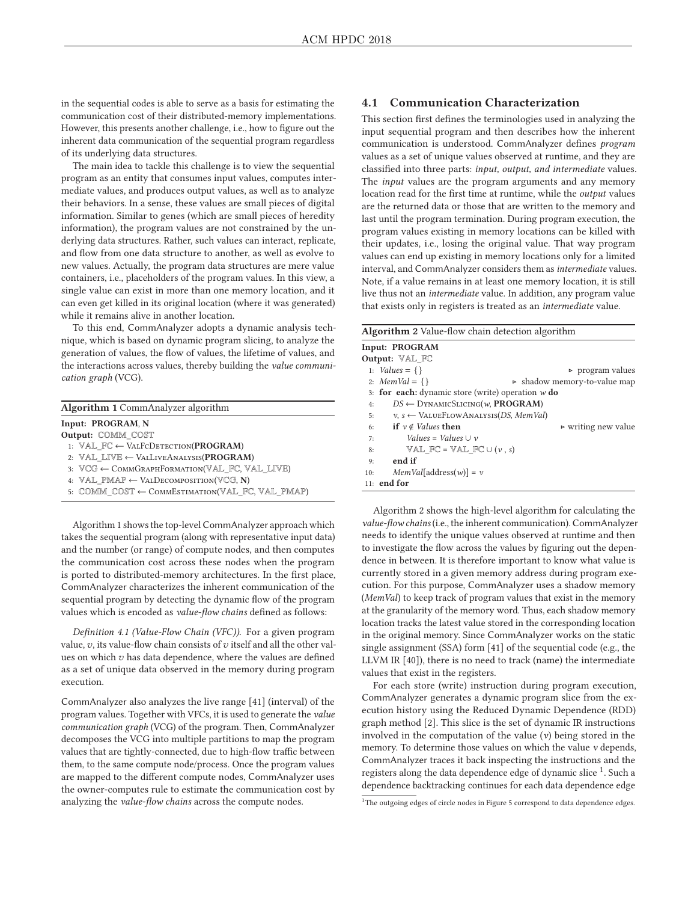in the sequential codes is able to serve as a basis for estimating the communication cost of their distributed-memory implementations. However, this presents another challenge, i.e., how to figure out the inherent data communication of the sequential program regardless of its underlying data structures.

The main idea to tackle this challenge is to view the sequential program as an entity that consumes input values, computes intermediate values, and produces output values, as well as to analyze their behaviors. In a sense, these values are small pieces of digital information. Similar to genes (which are small pieces of heredity information), the program values are not constrained by the underlying data structures. Rather, such values can interact, replicate, and flow from one data structure to another, as well as evolve to new values. Actually, the program data structures are mere value containers, i.e., placeholders of the program values. In this view, a single value can exist in more than one memory location, and it can even get killed in its original location (where it was generated) while it remains alive in another location.

To this end, CommAnalyzer adopts a dynamic analysis technique, which is based on dynamic program slicing, to analyze the generation of values, the flow of values, the lifetime of values, and the interactions across values, thereby building the *value communication graph* (VCG).

| Algorithm 1 CommAnalyzer algorithm |                                                                                               |  |  |  |
|------------------------------------|-----------------------------------------------------------------------------------------------|--|--|--|
| Input: PROGRAM, N                  |                                                                                               |  |  |  |
|                                    | Output: COMM COST                                                                             |  |  |  |
|                                    | 1: $\forall$ AL $FC \leftarrow$ ValFcDetection(PROGRAM)                                       |  |  |  |
|                                    | 2: VAL LIVE $\leftarrow$ VALLIVEANALYSIS(PROGRAM)                                             |  |  |  |
|                                    | 3: $VCG \leftarrow \text{COMMGRAPHFORMATION}(\text{VAL} \text{ FC}, \text{VAL} \text{ LIVE})$ |  |  |  |
|                                    | 4: VAL PMAP $\leftarrow$ VALDECOMPOSITION(VCG, N)                                             |  |  |  |
|                                    | 5: COMM COST $\leftarrow$ COMMESTIMATION (VAL FC, VAL PMAP)                                   |  |  |  |

Algorithm 1 shows the top-level CommAnalyzer approach which takes the sequential program (along with representative input data) and the number (or range) of compute nodes, and then computes the communication cost across these nodes when the program is ported to distributed-memory architectures. In the first place, CommAnalyzer characterizes the inherent communication of the sequential program by detecting the dynamic flow of the program values which is encoded as *value-flow chains* defined as follows:

*Definition 4.1 (Value-Flow Chain (VFC)).* For a given program value,  $v$ , its value-flow chain consists of  $v$  itself and all the other values on which  $v$  has data dependence, where the values are defined as a set of unique data observed in the memory during program execution.

CommAnalyzer also analyzes the live range [41] (interval) of the program values. Together with VFCs, it is used to generate the *value communication graph* (VCG) of the program. Then, CommAnalyzer decomposes the VCG into multiple partitions to map the program values that are tightly-connected, due to high-flow traffic between them, to the same compute node/process. Once the program values are mapped to the different compute nodes, CommAnalyzer uses the owner-computes rule to estimate the communication cost by analyzing the *value-flow chains* across the compute nodes.

## **4.1 Communication Characterization**

This section first defines the terminologies used in analyzing the input sequential program and then describes how the inherent communication is understood. CommAnalyzer defines *program* values as a set of unique values observed at runtime, and they are classified into three parts: *input, output, and intermediate* values. The *input* values are the program arguments and any memory location read for the first time at runtime, while the *output* values are the returned data or those that are written to the memory and last until the program termination. During program execution, the program values existing in memory locations can be killed with their updates, i.e., losing the original value. That way program values can end up existing in memory locations only for a limited interval, and CommAnalyzer considers them as *intermediate* values. Note, if a value remains in at least one memory location, it is still live thus not an *intermediate* value. In addition, any program value that exists only in registers is treated as an *intermediate* value.

| <b>Algorithm 2</b> Value-flow chain detection algorithm        |                                             |  |  |  |
|----------------------------------------------------------------|---------------------------------------------|--|--|--|
| Input: PROGRAM                                                 |                                             |  |  |  |
| Output: VAL FC                                                 |                                             |  |  |  |
| 1: <i>Values</i> = {}                                          | $\triangleright$ program values             |  |  |  |
| 2: MemVal = {}                                                 | $\triangleright$ shadow memory-to-value map |  |  |  |
| 3: for each: dynamic store (write) operation $w$ do            |                                             |  |  |  |
| $DS \leftarrow \text{Dynamicslicing}(w, \text{PROGRAM})$<br>4: |                                             |  |  |  |
| $v, s \leftarrow$ VALUEFLOWANALYSIS(DS, MemVal)<br>5:          |                                             |  |  |  |
| if $v \notin Values$ then<br>6:                                | $\triangleright$ writing new value          |  |  |  |
| Values = Values $\cup$ v<br>7:                                 |                                             |  |  |  |
| VAL $FC = VAL$ $FC \cup (v, s)$<br>8:                          |                                             |  |  |  |
| end if<br>9:                                                   |                                             |  |  |  |
| $MemVal[address(w)] = v$<br>10:                                |                                             |  |  |  |
| $11:$ end for                                                  |                                             |  |  |  |

Algorithm 2 shows the high-level algorithm for calculating the *value-flow chains*(i.e., the inherent communication).CommAnalyzer needs to identify the unique values observed at runtime and then to investigate the flow across the values by figuring out the dependence in between. It is therefore important to know what value is currently stored in a given memory address during program execution. For this purpose, CommAnalyzer uses a shadow memory (*MemVal*) to keep track of program values that exist in the memory at the granularity of the memory word. Thus, each shadow memory location tracks the latest value stored in the corresponding location in the original memory. Since CommAnalyzer works on the static single assignment (SSA) form [41] of the sequential code (e.g., the LLVM IR [40]), there is no need to track (name) the intermediate values that exist in the registers.

For each store (write) instruction during program execution, CommAnalyzer generates a dynamic program slice from the execution history using the Reduced Dynamic Dependence (RDD) graph method [2]. This slice is the set of dynamic IR instructions involved in the computation of the value (*v*) being stored in the memory. To determine those values on which the value *v* depends, CommAnalyzer traces it back inspecting the instructions and the registers along the data dependence edge of dynamic slice  $<sup>1</sup>$ . Such a</sup> dependence backtracking continues for each data dependence edge

 $1$ The outgoing edges of circle nodes in Figure 5 correspond to data dependence edges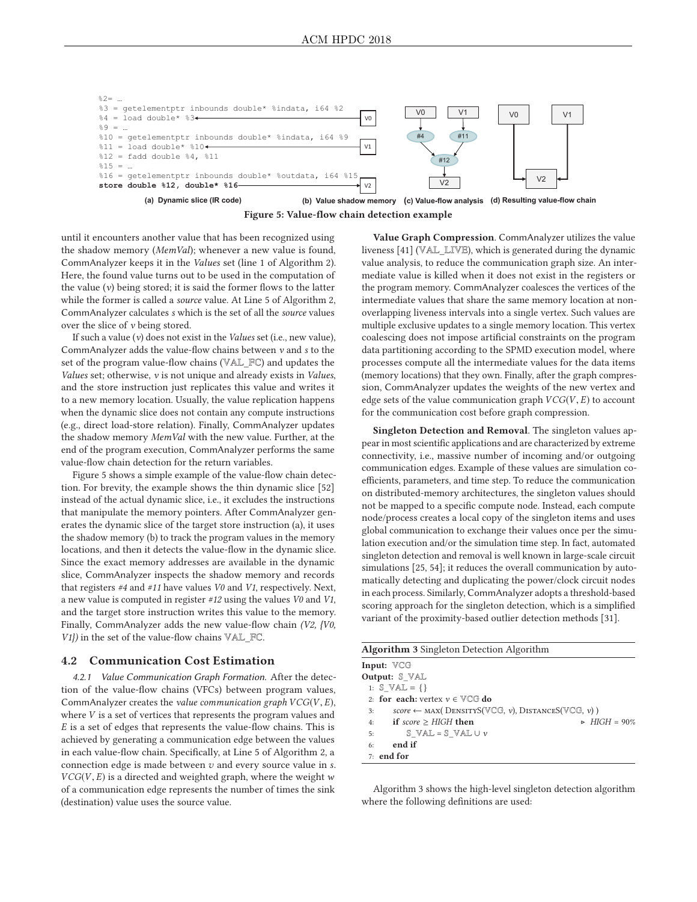

**Figure 5: Value-flow chain detection example**

until it encounters another value that has been recognized using the shadow memory (*MemVal*); whenever a new value is found, CommAnalyzer keeps it in the *Values* set (line 1 of Algorithm 2). Here, the found value turns out to be used in the computation of the value (*v*) being stored; it is said the former flows to the latter while the former is called a *source* value. At Line 5 of Algorithm 2, CommAnalyzer calculates *s* which is the set of all the *source* values over the slice of *v* being stored.

If such a value (*v*) does not exist in the *Values* set (i.e., new value), CommAnalyzer adds the value-flow chains between *v* and *s* to the set of the program value-flow chains (VAL\_FC) and updates the *Values* set; otherwise, *v* is not unique and already exists in *Values*, and the store instruction just replicates this value and writes it to a new memory location. Usually, the value replication happens when the dynamic slice does not contain any compute instructions (e.g., direct load-store relation). Finally, CommAnalyzer updates the shadow memory *MemVal* with the new value. Further, at the end of the program execution, CommAnalyzer performs the same value-flow chain detection for the return variables.

Figure 5 shows a simple example of the value-flow chain detection. For brevity, the example shows the thin dynamic slice [52] instead of the actual dynamic slice, i.e., it excludes the instructions that manipulate the memory pointers. After CommAnalyzer generates the dynamic slice of the target store instruction (a), it uses the shadow memory (b) to track the program values in the memory locations, and then it detects the value-flow in the dynamic slice. Since the exact memory addresses are available in the dynamic slice, CommAnalyzer inspects the shadow memory and records that registers *#4* and *#11* have values *V0* and *V1*, respectively. Next, a new value is computed in register *#12* using the values *V0* and *V1*, and the target store instruction writes this value to the memory. Finally, CommAnalyzer adds the new value-flow chain *(V2, {V0, V1}*) in the set of the value-flow chains VAL FC.

#### **4.2 Communication Cost Estimation**

*4.2.1 Value Communication Graph Formation.* After the detection of the value-flow chains (VFCs) between program values, CommAnalyzer creates the *value communication graph* VCG(V, E), where  $V$  is a set of vertices that represents the program values and  $E$  is a set of edges that represents the value-flow chains. This is achieved by generating a communication edge between the values in each value-flow chain. Specifically, at Line 5 of Algorithm 2, a connection edge is made between  $v$  and every source value in  $s$ .  $VCG(V, E)$  is a directed and weighted graph, where the weight w of a communication edge represents the number of times the sink (destination) value uses the source value.

**Value Graph Compression**. CommAnalyzer utilizes the value liveness [41] (VAL\_LIVE), which is generated during the dynamic value analysis, to reduce the communication graph size. An intermediate value is killed when it does not exist in the registers or the program memory. CommAnalyzer coalesces the vertices of the intermediate values that share the same memory location at nonoverlapping liveness intervals into a single vertex. Such values are multiple exclusive updates to a single memory location. This vertex coalescing does not impose artificial constraints on the program data partitioning according to the SPMD execution model, where processes compute all the intermediate values for the data items (memory locations) that they own. Finally, after the graph compression, CommAnalyzer updates the weights of the new vertex and edge sets of the value communication graph  $VCG(V, E)$  to account for the communication cost before graph compression.

**Singleton Detection and Removal**. The singleton values appear in most scientific applications and are characterized by extreme connectivity, i.e., massive number of incoming and/or outgoing communication edges. Example of these values are simulation coefficients, parameters, and time step. To reduce the communication on distributed-memory architectures, the singleton values should not be mapped to a specific compute node. Instead, each compute node/process creates a local copy of the singleton items and uses global communication to exchange their values once per the simulation execution and/or the simulation time step. In fact, automated singleton detection and removal is well known in large-scale circuit simulations [25, 54]; it reduces the overall communication by automatically detecting and duplicating the power/clock circuit nodes in each process. Similarly, CommAnalyzer adopts a threshold-based scoring approach for the singleton detection, which is a simplified variant of the proximity-based outlier detection methods [31].

|    | <b>Algorithm 3 Singleton Detection Algorithm</b>             |                             |  |  |
|----|--------------------------------------------------------------|-----------------------------|--|--|
|    | Input: $VCG$                                                 |                             |  |  |
|    | Output: S VAL                                                |                             |  |  |
|    | 1: $\mathbb{S}$ VAL = {}                                     |                             |  |  |
|    | 2: for each: vertex $v \in \mathbb{VCG}$ do                  |                             |  |  |
| 3: | score $\leftarrow$ MAX( DENSITYS(VCG, v), DISTANCES(VCG, v)) |                             |  |  |
| 4: | if $score > HIGH$ then                                       | $\triangleright$ HIGH = 90% |  |  |
| 5: | $S$ VAL = $S$ VAL U $\nu$                                    |                             |  |  |
| 6: | end if                                                       |                             |  |  |
|    | $7:$ end for                                                 |                             |  |  |

Algorithm 3 shows the high-level singleton detection algorithm where the following definitions are used: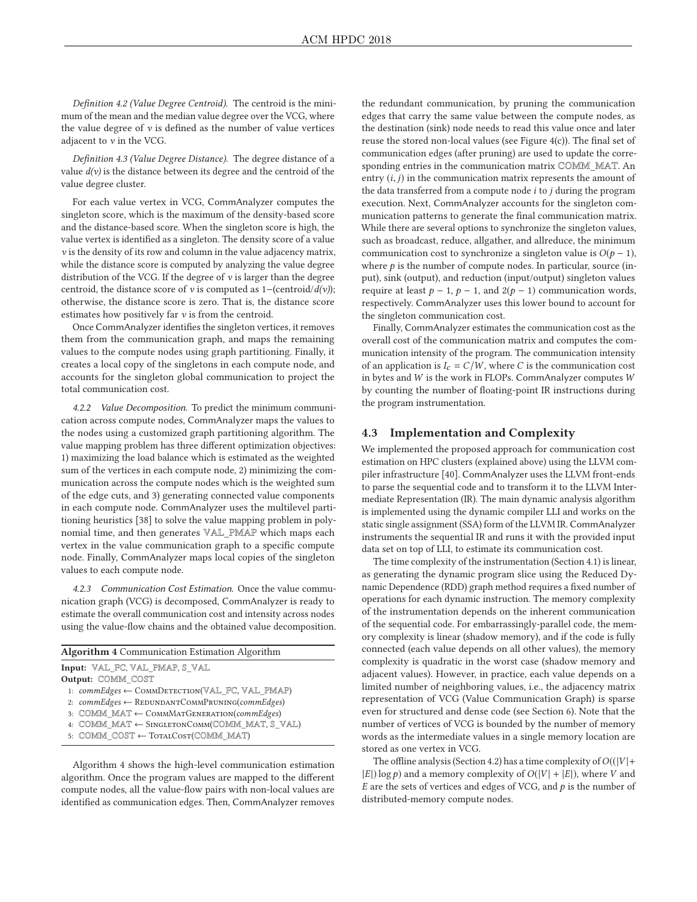*Definition 4.2 (Value Degree Centroid).* The centroid is the minimum of the mean and the median value degree over the VCG, where the value degree of  $\nu$  is defined as the number of value vertices adjacent to *v* in the VCG.

*Definition 4.3 (Value Degree Distance).* The degree distance of a value  $d(v)$  is the distance between its degree and the centroid of the value degree cluster.

For each value vertex in VCG, CommAnalyzer computes the singleton score, which is the maximum of the density-based score and the distance-based score. When the singleton score is high, the value vertex is identified as a singleton. The density score of a value *v* is the density of its row and column in the value adjacency matrix, while the distance score is computed by analyzing the value degree distribution of the VCG. If the degree of *v* is larger than the degree centroid, the distance score of *v* is computed as 1−(centroid/*d(v)*); otherwise, the distance score is zero. That is, the distance score estimates how positively far *v* is from the centroid.

Once CommAnalyzer identifies the singleton vertices, it removes them from the communication graph, and maps the remaining values to the compute nodes using graph partitioning. Finally, it creates a local copy of the singletons in each compute node, and accounts for the singleton global communication to project the total communication cost.

*4.2.2 Value Decomposition.* To predict the minimum communication across compute nodes, CommAnalyzer maps the values to the nodes using a customized graph partitioning algorithm. The value mapping problem has three different optimization objectives: 1) maximizing the load balance which is estimated as the weighted sum of the vertices in each compute node, 2) minimizing the communication across the compute nodes which is the weighted sum of the edge cuts, and 3) generating connected value components in each compute node. CommAnalyzer uses the multilevel partitioning heuristics [38] to solve the value mapping problem in polynomial time, and then generates VAL\_PMAP which maps each vertex in the value communication graph to a specific compute node. Finally, CommAnalyzer maps local copies of the singleton values to each compute node.

*4.2.3 Communication Cost Estimation.* Once the value communication graph (VCG) is decomposed, CommAnalyzer is ready to estimate the overall communication cost and intensity across nodes using the value-flow chains and the obtained value decomposition.

| <b>Algorithm 4 Communication Estimation Algorithm</b>                                                                                                                                                                                                                                                                            |  |  |
|----------------------------------------------------------------------------------------------------------------------------------------------------------------------------------------------------------------------------------------------------------------------------------------------------------------------------------|--|--|
| Input: VAL FC, VAL PMAP, S VAL                                                                                                                                                                                                                                                                                                   |  |  |
| Output: COMM COST                                                                                                                                                                                                                                                                                                                |  |  |
| 1: $commEdges \leftarrow \text{CommE}$ $\text{C}$ $\vee$ $\text{M}$ $\text{D}$ $\text{E}$ $\text{C}$ $\text{M}$ $\text{C}$ $\text{M}$ $\text{M}$ $\text{M}$ $\text{M}$ $\text{M}$ $\text{M}$ $\text{M}$ $\text{M}$ $\text{M}$ $\text{M}$ $\text{M}$ $\text{M}$ $\text{M}$ $\text{M}$ $\text{M}$ $\text{M}$ $\text{M}$ $\text{M}$ |  |  |
| 2: $commEdges \leftarrow \text{REDUNDANTCOMMPRUNING}(commEdges)$                                                                                                                                                                                                                                                                 |  |  |
| 3: COMM MAT ← COMMMATGENERATION(commEdges)                                                                                                                                                                                                                                                                                       |  |  |
| 4: COMM MAT $\leftarrow$ SINGLETONCOMM(COMM MAT, S VAL)                                                                                                                                                                                                                                                                          |  |  |
| 5: COMM COST ← TOTALCOST(COMM MAT)                                                                                                                                                                                                                                                                                               |  |  |
|                                                                                                                                                                                                                                                                                                                                  |  |  |

Algorithm 4 shows the high-level communication estimation algorithm. Once the program values are mapped to the different compute nodes, all the value-flow pairs with non-local values are identified as communication edges. Then, CommAnalyzer removes the redundant communication, by pruning the communication edges that carry the same value between the compute nodes, as the destination (sink) node needs to read this value once and later reuse the stored non-local values (see Figure 4(c)). The final set of communication edges (after pruning) are used to update the corresponding entries in the communication matrix COMM\_MAT. An entry  $(i, j)$  in the communication matrix represents the amount of the data transferred from a compute node  $i$  to  $j$  during the program execution. Next, CommAnalyzer accounts for the singleton communication patterns to generate the final communication matrix. While there are several options to synchronize the singleton values, such as broadcast, reduce, allgather, and allreduce, the minimum communication cost to synchronize a singleton value is  $O(p - 1)$ , where  $p$  is the number of compute nodes. In particular, source (input), sink (output), and reduction (input/output) singleton values require at least  $p - 1$ ,  $p - 1$ , and  $2(p − 1)$  communication words, respectively. CommAnalyzer uses this lower bound to account for the singleton communication cost.

Finally, CommAnalyzer estimates the communication cost as the overall cost of the communication matrix and computes the communication intensity of the program. The communication intensity of an application is  $I_c = C/W$ , where C is the communication cost in bytes and W is the work in FLOPs. CommAnalyzer computes W by counting the number of floating-point IR instructions during the program instrumentation.

#### **4.3 Implementation and Complexity**

We implemented the proposed approach for communication cost estimation on HPC clusters (explained above) using the LLVM compiler infrastructure [40]. CommAnalyzer uses the LLVM front-ends to parse the sequential code and to transform it to the LLVM Intermediate Representation (IR). The main dynamic analysis algorithm is implemented using the dynamic compiler LLI and works on the static single assignment (SSA) form of the LLVM IR. CommAnalyzer instruments the sequential IR and runs it with the provided input data set on top of LLI, to estimate its communication cost.

The time complexity of the instrumentation (Section 4.1) is linear, as generating the dynamic program slice using the Reduced Dynamic Dependence (RDD) graph method requires a fixed number of operations for each dynamic instruction. The memory complexity of the instrumentation depends on the inherent communication of the sequential code. For embarrassingly-parallel code, the memory complexity is linear (shadow memory), and if the code is fully connected (each value depends on all other values), the memory complexity is quadratic in the worst case (shadow memory and adjacent values). However, in practice, each value depends on a limited number of neighboring values, i.e., the adjacency matrix representation of VCG (Value Communication Graph) is sparse even for structured and dense code (see Section 6). Note that the number of vertices of VCG is bounded by the number of memory words as the intermediate values in a single memory location are stored as one vertex in VCG.

The offline analysis (Section 4.2) has a time complexity of  $O((|V| +$  $|E|$ ) log  $p$ ) and a memory complexity of  $O(|V| + |E|)$ , where V and  $E$  are the sets of vertices and edges of VCG, and  $p$  is the number of distributed-memory compute nodes.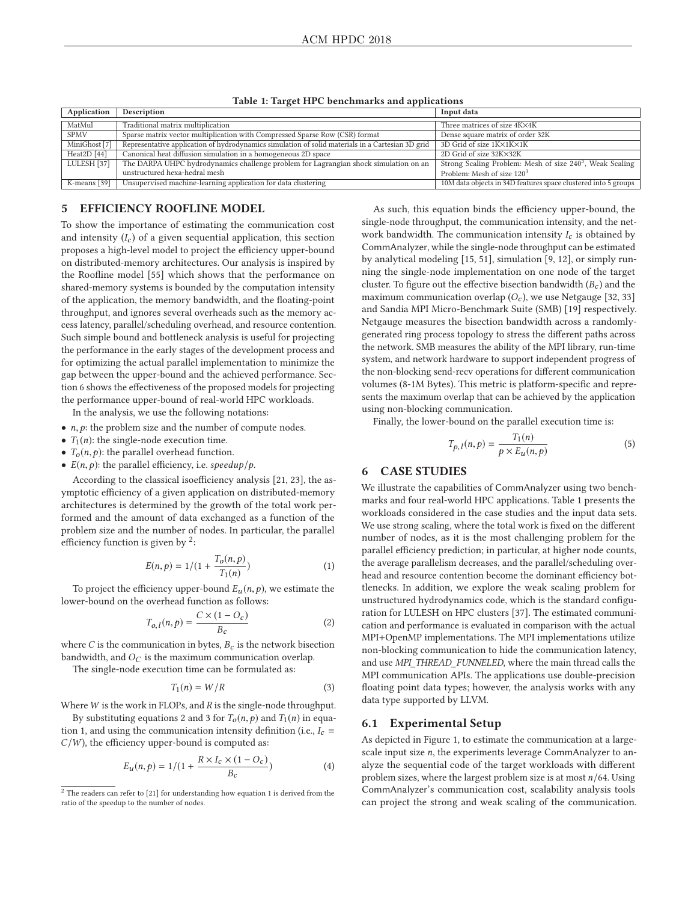|  |  |  |  |  | Table 1: Target HPC benchmarks and applications |
|--|--|--|--|--|-------------------------------------------------|
|--|--|--|--|--|-------------------------------------------------|

| Application              | Description                                                                                      | Input data                                                           |
|--------------------------|--------------------------------------------------------------------------------------------------|----------------------------------------------------------------------|
|                          |                                                                                                  |                                                                      |
| MatMul                   | Traditional matrix multiplication                                                                | Three matrices of size 4K×4K                                         |
| <b>SPMV</b>              | Sparse matrix vector multiplication with Compressed Sparse Row (CSR) format                      | Dense square matrix of order 32K                                     |
| MiniGhost <sup>[7]</sup> | Representative application of hydrodynamics simulation of solid materials in a Cartesian 3D grid | 3D Grid of size 1K×1K×1K                                             |
| Heat2D [44]              | Canonical heat diffusion simulation in a homogeneous 2D space                                    | 2D Grid of size 32K×32K                                              |
| LULESH <sup>[37]</sup>   | The DARPA UHPC hydrodynamics challenge problem for Lagrangian shock simulation on an             | Strong Scaling Problem: Mesh of size 240 <sup>3</sup> , Weak Scaling |
|                          | unstructured hexa-hedral mesh                                                                    | Problem: Mesh of size 120 <sup>3</sup>                               |
| K-means [39]             | Unsupervised machine-learning application for data clustering                                    | 10M data objects in 34D features space clustered into 5 groups       |

#### **5 EFFICIENCY ROOFLINE MODEL**

To show the importance of estimating the communication cost and intensity  $(I_c)$  of a given sequential application, this section proposes a high-level model to project the efficiency upper-bound on distributed-memory architectures. Our analysis is inspired by the Roofline model [55] which shows that the performance on shared-memory systems is bounded by the computation intensity of the application, the memory bandwidth, and the floating-point throughput, and ignores several overheads such as the memory access latency, parallel/scheduling overhead, and resource contention. Such simple bound and bottleneck analysis is useful for projecting the performance in the early stages of the development process and for optimizing the actual parallel implementation to minimize the gap between the upper-bound and the achieved performance. Section 6 shows the effectiveness of the proposed models for projecting the performance upper-bound of real-world HPC workloads.

In the analysis, we use the following notations:

- $n, p$ : the problem size and the number of compute nodes.
- $T_1(n)$ : the single-node execution time.
- $T<sub>o</sub>(n, p)$ : the parallel overhead function.
- $E(n, p)$ : the parallel efficiency, i.e. speedup/p.

According to the classical isoefficiency analysis [21, 23], the asymptotic efficiency of a given application on distributed-memory architectures is determined by the growth of the total work performed and the amount of data exchanged as a function of the problem size and the number of nodes. In particular, the parallel efficiency function is given by  $2$ :

$$
E(n, p) = 1/(1 + \frac{T_o(n, p)}{T_1(n)})
$$
\n(1)

To project the efficiency upper-bound  $E_u(n, p)$ , we estimate the lower-bound on the overhead function as follows:

$$
T_{o,I}(n,p) = \frac{C \times (1 - O_c)}{B_c} \tag{2}
$$

where C is the communication in bytes,  $B_c$  is the network bisection bandwidth, and  $O<sub>C</sub>$  is the maximum communication overlap.

The single-node execution time can be formulated as:

$$
T_1(n) = W/R \tag{3}
$$

Where  $W$  is the work in FLOPs, and  $R$  is the single-node throughput.

By substituting equations 2 and 3 for  $T_0(n, p)$  and  $T_1(n)$  in equation 1, and using the communication intensity definition (i.e.,  $I_c$  =  $C/W$ ), the efficiency upper-bound is computed as:

$$
E_u(n, p) = 1/(1 + \frac{R \times I_c \times (1 - O_c)}{B_c})
$$
\n(4)

As such, this equation binds the efficiency upper-bound, the single-node throughput, the communication intensity, and the network bandwidth. The communication intensity  $I_c$  is obtained by CommAnalyzer, while the single-node throughput can be estimated by analytical modeling [15, 51], simulation [9, 12], or simply running the single-node implementation on one node of the target cluster. To figure out the effective bisection bandwidth  $(B<sub>c</sub>)$  and the maximum communication overlap  $(O_c)$ , we use Netgauge [32, 33] and Sandia MPI Micro-Benchmark Suite (SMB) [19] respectively. Netgauge measures the bisection bandwidth across a randomlygenerated ring process topology to stress the different paths across the network. SMB measures the ability of the MPI library, run-time system, and network hardware to support independent progress of the non-blocking send-recv operations for different communication volumes (8-1M Bytes). This metric is platform-specific and represents the maximum overlap that can be achieved by the application using non-blocking communication.

Finally, the lower-bound on the parallel execution time is:

$$
T_{p,l}(n,p) = \frac{T_1(n)}{p \times E_u(n,p)}\tag{5}
$$

## **6 CASE STUDIES**

We illustrate the capabilities of CommAnalyzer using two benchmarks and four real-world HPC applications. Table 1 presents the workloads considered in the case studies and the input data sets. We use strong scaling, where the total work is fixed on the different number of nodes, as it is the most challenging problem for the parallel efficiency prediction; in particular, at higher node counts, the average parallelism decreases, and the parallel/scheduling overhead and resource contention become the dominant efficiency bottlenecks. In addition, we explore the weak scaling problem for unstructured hydrodynamics code, which is the standard configuration for LULESH on HPC clusters [37]. The estimated communication and performance is evaluated in comparison with the actual MPI+OpenMP implementations. The MPI implementations utilize non-blocking communication to hide the communication latency, and use *MPI\_THREAD\_FUNNELED*, where the main thread calls the MPI communication APIs. The applications use double-precision floating point data types; however, the analysis works with any data type supported by LLVM.

#### **6.1 Experimental Setup**

As depicted in Figure 1, to estimate the communication at a largescale input size n, the experiments leverage CommAnalyzer to analyze the sequential code of the target workloads with different problem sizes, where the largest problem size is at most  $n/64$ . Using CommAnalyzer's communication cost, scalability analysis tools can project the strong and weak scaling of the communication.

 $^{\rm 2}$  The readers can refer to [21] for understanding how equation 1 is derived from the ratio of the speedup to the number of nodes.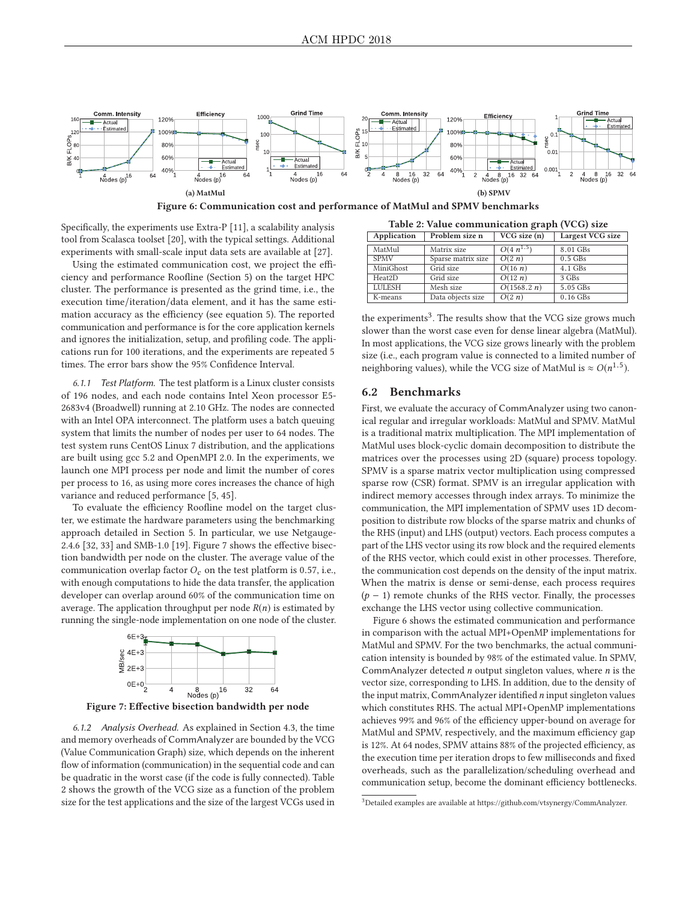

**Figure 6: Communication cost and performance of MatMul and SPMV benchmarks**

Specifically, the experiments use Extra-P [11], a scalability analysis tool from Scalasca toolset [20], with the typical settings. Additional experiments with small-scale input data sets are available at [27].

Using the estimated communication cost, we project the efficiency and performance Roofline (Section 5) on the target HPC cluster. The performance is presented as the grind time, i.e., the execution time/iteration/data element, and it has the same estimation accuracy as the efficiency (see equation 5). The reported communication and performance is for the core application kernels and ignores the initialization, setup, and profiling code. The applications run for 100 iterations, and the experiments are repeated 5 times. The error bars show the 95% Confidence Interval.

*6.1.1 Test Platform.* The test platform is a Linux cluster consists of 196 nodes, and each node contains Intel Xeon processor E5- 2683v4 (Broadwell) running at 2.10 GHz. The nodes are connected with an Intel OPA interconnect. The platform uses a batch queuing system that limits the number of nodes per user to 64 nodes. The test system runs CentOS Linux 7 distribution, and the applications are built using gcc 5.2 and OpenMPI 2.0. In the experiments, we launch one MPI process per node and limit the number of cores per process to 16, as using more cores increases the chance of high variance and reduced performance [5, 45].

To evaluate the efficiency Roofline model on the target cluster, we estimate the hardware parameters using the benchmarking approach detailed in Section 5. In particular, we use Netgauge-2.4.6 [32, 33] and SMB-1.0 [19]. Figure 7 shows the effective bisection bandwidth per node on the cluster. The average value of the communication overlap factor  $O_c$  on the test platform is 0.57, i.e., with enough computations to hide the data transfer, the application developer can overlap around 60% of the communication time on average. The application throughput per node  $R(n)$  is estimated by running the single-node implementation on one node of the cluster.



**Figure 7: Effective bisection bandwidth per node**

*6.1.2 Analysis Overhead.* As explained in Section 4.3, the time and memory overheads of CommAnalyzer are bounded by the VCG (Value Communication Graph) size, which depends on the inherent flow of information (communication) in the sequential code and can be quadratic in the worst case (if the code is fully connected). Table 2 shows the growth of the VCG size as a function of the problem size for the test applications and the size of the largest VCGs used in

**Table 2: Value communication graph (VCG) size**

| Application   | Problem size n     | VCG size (n)             | Largest VCG size |
|---------------|--------------------|--------------------------|------------------|
| MatMul        | Matrix size        | $O(4 n^{1.5})$           | 8.01 GBs         |
| <b>SPMV</b>   | Sparse matrix size | $\overline{O(2 n)}$      | $0.5$ GBs        |
| MiniGhost     | Grid size          | O(16 n)                  | $4.1$ GBs        |
| Heat2D        | Grid size          | O(12 n)                  | 3 GBs            |
| <b>LULESH</b> | Mesh size          | $\overline{O(1568.2 n)}$ | 5.05 GBs         |
| K-means       | Data objects size  | O(2 n)                   | $0.16$ GBs       |

the experiments<sup>3</sup>. The results show that the VCG size grows much slower than the worst case even for dense linear algebra (MatMul). In most applications, the VCG size grows linearly with the problem size (i.e., each program value is connected to a limited number of neighboring values), while the VCG size of MatMul is  $\approx O(n^{1.5})$ .

#### **6.2 Benchmarks**

First, we evaluate the accuracy of CommAnalyzer using two canonical regular and irregular workloads: MatMul and SPMV. MatMul is a traditional matrix multiplication. The MPI implementation of MatMul uses block-cyclic domain decomposition to distribute the matrices over the processes using 2D (square) process topology. SPMV is a sparse matrix vector multiplication using compressed sparse row (CSR) format. SPMV is an irregular application with indirect memory accesses through index arrays. To minimize the communication, the MPI implementation of SPMV uses 1D decomposition to distribute row blocks of the sparse matrix and chunks of the RHS (input) and LHS (output) vectors. Each process computes a part of the LHS vector using its row block and the required elements of the RHS vector, which could exist in other processes. Therefore, the communication cost depends on the density of the input matrix. When the matrix is dense or semi-dense, each process requires  $(p - 1)$  remote chunks of the RHS vector. Finally, the processes exchange the LHS vector using collective communication.

Figure 6 shows the estimated communication and performance in comparison with the actual MPI+OpenMP implementations for MatMul and SPMV. For the two benchmarks, the actual communication intensity is bounded by 98% of the estimated value. In SPMV, CommAnalyzer detected  $n$  output singleton values, where  $n$  is the vector size, corresponding to LHS. In addition, due to the density of the input matrix, CommAnalyzer identified n input singleton values which constitutes RHS. The actual MPI+OpenMP implementations achieves 99% and 96% of the efficiency upper-bound on average for MatMul and SPMV, respectively, and the maximum efficiency gap is 12%. At 64 nodes, SPMV attains 88% of the projected efficiency, as the execution time per iteration drops to few milliseconds and fixed overheads, such as the parallelization/scheduling overhead and communication setup, become the dominant efficiency bottlenecks.

<sup>3</sup>Detailed examples are available at https://github.com/vtsynergy/CommAnalyzer.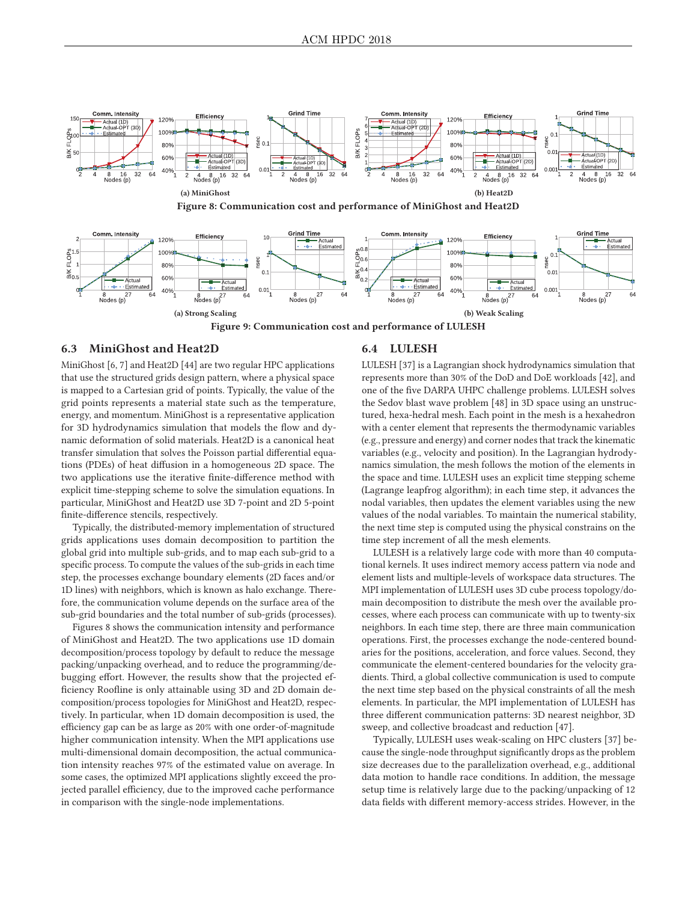

#### **6.3 MiniGhost and Heat2D**

MiniGhost [6, 7] and Heat2D [44] are two regular HPC applications that use the structured grids design pattern, where a physical space is mapped to a Cartesian grid of points. Typically, the value of the grid points represents a material state such as the temperature, energy, and momentum. MiniGhost is a representative application for 3D hydrodynamics simulation that models the flow and dynamic deformation of solid materials. Heat2D is a canonical heat transfer simulation that solves the Poisson partial differential equations (PDEs) of heat diffusion in a homogeneous 2D space. The two applications use the iterative finite-difference method with explicit time-stepping scheme to solve the simulation equations. In particular, MiniGhost and Heat2D use 3D 7-point and 2D 5-point finite-difference stencils, respectively.

Typically, the distributed-memory implementation of structured grids applications uses domain decomposition to partition the global grid into multiple sub-grids, and to map each sub-grid to a specific process. To compute the values of the sub-grids in each time step, the processes exchange boundary elements (2D faces and/or 1D lines) with neighbors, which is known as halo exchange. Therefore, the communication volume depends on the surface area of the sub-grid boundaries and the total number of sub-grids (processes).

Figures 8 shows the communication intensity and performance of MiniGhost and Heat2D. The two applications use 1D domain decomposition/process topology by default to reduce the message packing/unpacking overhead, and to reduce the programming/debugging effort. However, the results show that the projected efficiency Roofline is only attainable using 3D and 2D domain decomposition/process topologies for MiniGhost and Heat2D, respectively. In particular, when 1D domain decomposition is used, the efficiency gap can be as large as 20% with one order-of-magnitude higher communication intensity. When the MPI applications use multi-dimensional domain decomposition, the actual communication intensity reaches 97% of the estimated value on average. In some cases, the optimized MPI applications slightly exceed the projected parallel efficiency, due to the improved cache performance in comparison with the single-node implementations.

## **6.4 LULESH**

LULESH [37] is a Lagrangian shock hydrodynamics simulation that represents more than 30% of the DoD and DoE workloads [42], and one of the five DARPA UHPC challenge problems. LULESH solves the Sedov blast wave problem [48] in 3D space using an unstructured, hexa-hedral mesh. Each point in the mesh is a hexahedron with a center element that represents the thermodynamic variables (e.g., pressure and energy) and corner nodes that track the kinematic variables (e.g., velocity and position). In the Lagrangian hydrodynamics simulation, the mesh follows the motion of the elements in the space and time. LULESH uses an explicit time stepping scheme (Lagrange leapfrog algorithm); in each time step, it advances the nodal variables, then updates the element variables using the new values of the nodal variables. To maintain the numerical stability, the next time step is computed using the physical constrains on the time step increment of all the mesh elements.

LULESH is a relatively large code with more than 40 computational kernels. It uses indirect memory access pattern via node and element lists and multiple-levels of workspace data structures. The MPI implementation of LULESH uses 3D cube process topology/domain decomposition to distribute the mesh over the available processes, where each process can communicate with up to twenty-six neighbors. In each time step, there are three main communication operations. First, the processes exchange the node-centered boundaries for the positions, acceleration, and force values. Second, they communicate the element-centered boundaries for the velocity gradients. Third, a global collective communication is used to compute the next time step based on the physical constraints of all the mesh elements. In particular, the MPI implementation of LULESH has three different communication patterns: 3D nearest neighbor, 3D sweep, and collective broadcast and reduction [47].

Typically, LULESH uses weak-scaling on HPC clusters [37] because the single-node throughput significantly drops as the problem size decreases due to the parallelization overhead, e.g., additional data motion to handle race conditions. In addition, the message setup time is relatively large due to the packing/unpacking of 12 data fields with different memory-access strides. However, in the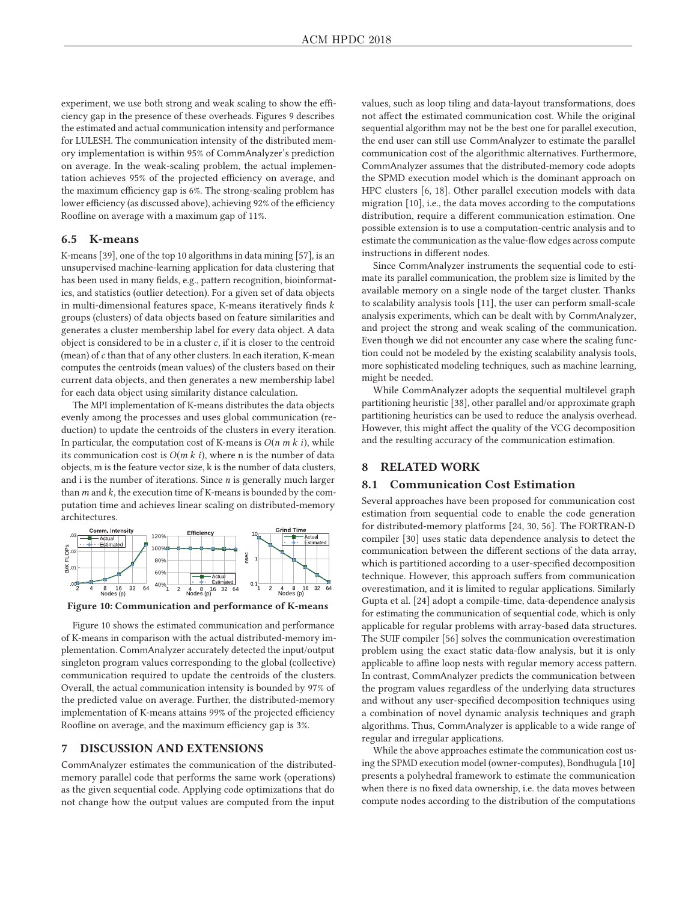experiment, we use both strong and weak scaling to show the efficiency gap in the presence of these overheads. Figures 9 describes the estimated and actual communication intensity and performance for LULESH. The communication intensity of the distributed memory implementation is within 95% of CommAnalyzer's prediction on average. In the weak-scaling problem, the actual implementation achieves 95% of the projected efficiency on average, and the maximum efficiency gap is 6%. The strong-scaling problem has lower efficiency (as discussed above), achieving 92% of the efficiency Roofline on average with a maximum gap of 11%.

#### **6.5 K-means**

K-means [39], one of the top 10 algorithms in data mining [57], is an unsupervised machine-learning application for data clustering that has been used in many fields, e.g., pattern recognition, bioinformatics, and statistics (outlier detection). For a given set of data objects in multi-dimensional features space, K-means iteratively finds k groups (clusters) of data objects based on feature similarities and generates a cluster membership label for every data object. A data object is considered to be in a cluster  $c$ , if it is closer to the centroid (mean) of  $c$  than that of any other clusters. In each iteration, K-mean computes the centroids (mean values) of the clusters based on their current data objects, and then generates a new membership label for each data object using similarity distance calculation.

The MPI implementation of K-means distributes the data objects evenly among the processes and uses global communication (reduction) to update the centroids of the clusters in every iteration. In particular, the computation cost of K-means is  $O(n m k i)$ , while its communication cost is  $O(m k i)$ , where n is the number of data objects, m is the feature vector size, k is the number of data clusters, and i is the number of iterations. Since  $n$  is generally much larger than  $m$  and  $k$ , the execution time of K-means is bounded by the computation time and achieves linear scaling on distributed-memory architectures.



**Figure 10: Communication and performance of K-means**

Figure 10 shows the estimated communication and performance of K-means in comparison with the actual distributed-memory implementation. CommAnalyzer accurately detected the input/output singleton program values corresponding to the global (collective) communication required to update the centroids of the clusters. Overall, the actual communication intensity is bounded by 97% of the predicted value on average. Further, the distributed-memory implementation of K-means attains 99% of the projected efficiency Roofline on average, and the maximum efficiency gap is 3%.

#### **7 DISCUSSION AND EXTENSIONS**

CommAnalyzer estimates the communication of the distributedmemory parallel code that performs the same work (operations) as the given sequential code. Applying code optimizations that do not change how the output values are computed from the input

values, such as loop tiling and data-layout transformations, does not affect the estimated communication cost. While the original sequential algorithm may not be the best one for parallel execution, the end user can still use CommAnalyzer to estimate the parallel communication cost of the algorithmic alternatives. Furthermore, CommAnalyzer assumes that the distributed-memory code adopts the SPMD execution model which is the dominant approach on HPC clusters [6, 18]. Other parallel execution models with data migration [10], i.e., the data moves according to the computations distribution, require a different communication estimation. One possible extension is to use a computation-centric analysis and to estimate the communication as the value-flow edges across compute instructions in different nodes.

Since CommAnalyzer instruments the sequential code to estimate its parallel communication, the problem size is limited by the available memory on a single node of the target cluster. Thanks to scalability analysis tools [11], the user can perform small-scale analysis experiments, which can be dealt with by CommAnalyzer, and project the strong and weak scaling of the communication. Even though we did not encounter any case where the scaling function could not be modeled by the existing scalability analysis tools, more sophisticated modeling techniques, such as machine learning, might be needed.

While CommAnalyzer adopts the sequential multilevel graph partitioning heuristic [38], other parallel and/or approximate graph partitioning heuristics can be used to reduce the analysis overhead. However, this might affect the quality of the VCG decomposition and the resulting accuracy of the communication estimation.

## **8 RELATED WORK**

#### **8.1 Communication Cost Estimation**

Several approaches have been proposed for communication cost estimation from sequential code to enable the code generation for distributed-memory platforms [24, 30, 56]. The FORTRAN-D compiler [30] uses static data dependence analysis to detect the communication between the different sections of the data array, which is partitioned according to a user-specified decomposition technique. However, this approach suffers from communication overestimation, and it is limited to regular applications. Similarly Gupta et al. [24] adopt a compile-time, data-dependence analysis for estimating the communication of sequential code, which is only applicable for regular problems with array-based data structures. The SUIF compiler [56] solves the communication overestimation problem using the exact static data-flow analysis, but it is only applicable to affine loop nests with regular memory access pattern. In contrast, CommAnalyzer predicts the communication between the program values regardless of the underlying data structures and without any user-specified decomposition techniques using a combination of novel dynamic analysis techniques and graph algorithms. Thus, CommAnalyzer is applicable to a wide range of regular and irregular applications.

While the above approaches estimate the communication cost using the SPMD execution model (owner-computes), Bondhugula [10] presents a polyhedral framework to estimate the communication when there is no fixed data ownership, i.e. the data moves between compute nodes according to the distribution of the computations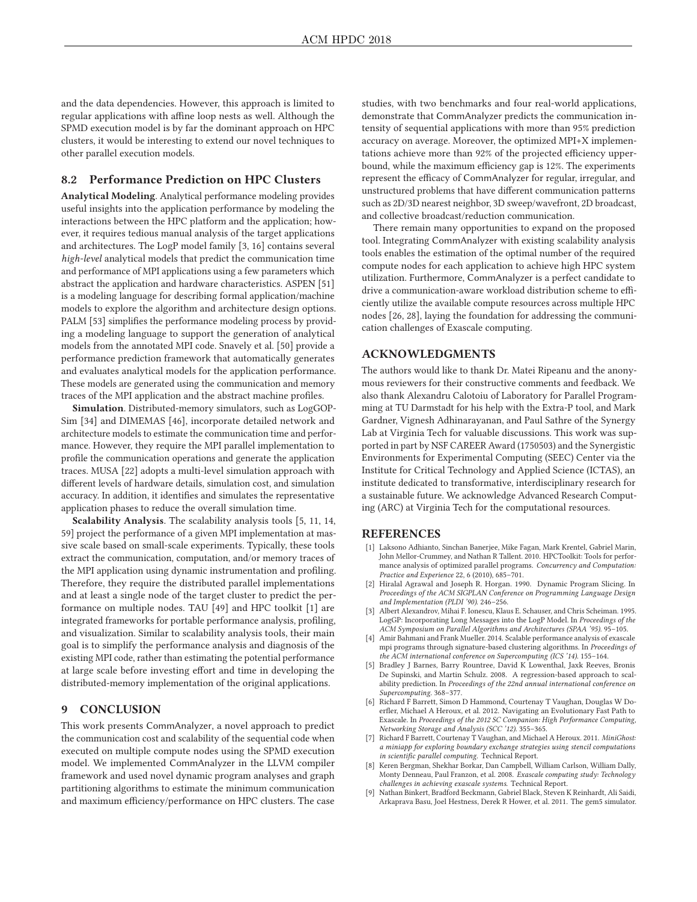and the data dependencies. However, this approach is limited to regular applications with affine loop nests as well. Although the SPMD execution model is by far the dominant approach on HPC clusters, it would be interesting to extend our novel techniques to other parallel execution models.

## **8.2 Performance Prediction on HPC Clusters**

**Analytical Modeling**. Analytical performance modeling provides useful insights into the application performance by modeling the interactions between the HPC platform and the application; however, it requires tedious manual analysis of the target applications and architectures. The LogP model family [3, 16] contains several *high-level* analytical models that predict the communication time and performance of MPI applications using a few parameters which abstract the application and hardware characteristics. ASPEN [51] is a modeling language for describing formal application/machine models to explore the algorithm and architecture design options. PALM [53] simplifies the performance modeling process by providing a modeling language to support the generation of analytical models from the annotated MPI code. Snavely et al. [50] provide a performance prediction framework that automatically generates and evaluates analytical models for the application performance. These models are generated using the communication and memory traces of the MPI application and the abstract machine profiles.

**Simulation**. Distributed-memory simulators, such as LogGOP-Sim [34] and DIMEMAS [46], incorporate detailed network and architecture models to estimate the communication time and performance. However, they require the MPI parallel implementation to profile the communication operations and generate the application traces. MUSA [22] adopts a multi-level simulation approach with different levels of hardware details, simulation cost, and simulation accuracy. In addition, it identifies and simulates the representative application phases to reduce the overall simulation time.

**Scalability Analysis**. The scalability analysis tools [5, 11, 14, 59] project the performance of a given MPI implementation at massive scale based on small-scale experiments. Typically, these tools extract the communication, computation, and/or memory traces of the MPI application using dynamic instrumentation and profiling. Therefore, they require the distributed parallel implementations and at least a single node of the target cluster to predict the performance on multiple nodes. TAU [49] and HPC toolkit [1] are integrated frameworks for portable performance analysis, profiling, and visualization. Similar to scalability analysis tools, their main goal is to simplify the performance analysis and diagnosis of the existing MPI code, rather than estimating the potential performance at large scale before investing effort and time in developing the distributed-memory implementation of the original applications.

#### **9 CONCLUSION**

This work presents CommAnalyzer, a novel approach to predict the communication cost and scalability of the sequential code when executed on multiple compute nodes using the SPMD execution model. We implemented CommAnalyzer in the LLVM compiler framework and used novel dynamic program analyses and graph partitioning algorithms to estimate the minimum communication and maximum efficiency/performance on HPC clusters. The case studies, with two benchmarks and four real-world applications, demonstrate that CommAnalyzer predicts the communication intensity of sequential applications with more than 95% prediction accuracy on average. Moreover, the optimized MPI+X implementations achieve more than 92% of the projected efficiency upperbound, while the maximum efficiency gap is 12%. The experiments represent the efficacy of CommAnalyzer for regular, irregular, and unstructured problems that have different communication patterns such as 2D/3D nearest neighbor, 3D sweep/wavefront, 2D broadcast, and collective broadcast/reduction communication.

There remain many opportunities to expand on the proposed tool. Integrating CommAnalyzer with existing scalability analysis tools enables the estimation of the optimal number of the required compute nodes for each application to achieve high HPC system utilization. Furthermore, CommAnalyzer is a perfect candidate to drive a communication-aware workload distribution scheme to efficiently utilize the available compute resources across multiple HPC nodes [26, 28], laying the foundation for addressing the communication challenges of Exascale computing.

## **ACKNOWLEDGMENTS**

The authors would like to thank Dr. Matei Ripeanu and the anonymous reviewers for their constructive comments and feedback. We also thank Alexandru Calotoiu of Laboratory for Parallel Programming at TU Darmstadt for his help with the Extra-P tool, and Mark Gardner, Vignesh Adhinarayanan, and Paul Sathre of the Synergy Lab at Virginia Tech for valuable discussions. This work was supported in part by NSF CAREER Award (1750503) and the Synergistic Environments for Experimental Computing (SEEC) Center via the Institute for Critical Technology and Applied Science (ICTAS), an institute dedicated to transformative, interdisciplinary research for a sustainable future. We acknowledge Advanced Research Computing (ARC) at Virginia Tech for the computational resources.

#### **REFERENCES**

- [1] Laksono Adhianto, Sinchan Banerjee, Mike Fagan, Mark Krentel, Gabriel Marin, John Mellor-Crummey, and Nathan R Tallent. 2010. HPCToolkit: Tools for performance analysis of optimized parallel programs. *Concurrency and Computation: Practice and Experience* 22, 6 (2010), 685–701.
- Hiralal Agrawal and Joseph R. Horgan. 1990. Dynamic Program Slicing. In *Proceedings of the ACM SIGPLAN Conference on Programming Language Design and Implementation (PLDI '90)*. 246–256.
- [3] Albert Alexandrov, Mihai F. Ionescu, Klaus E. Schauser, and Chris Scheiman. 1995. LogGP: Incorporating Long Messages into the LogP Model. In *Proceedings of the ACM Symposium on Parallel Algorithms and Architectures (SPAA '95)*. 95–105.
- [4] Amir Bahmani and Frank Mueller. 2014. Scalable performance analysis of exascale mpi programs through signature-based clustering algorithms. In *Proceedings of the ACM international conference on Supercomputing (ICS '14)*. 155–164.
- [5] Bradley J Barnes, Barry Rountree, David K Lowenthal, Jaxk Reeves, Bronis De Supinski, and Martin Schulz. 2008. A regression-based approach to scalability prediction. In *Proceedings of the 22nd annual international conference on Supercomputing*. 368–377.
- [6] Richard F Barrett, Simon D Hammond, Courtenay T Vaughan, Douglas W Doerfler, Michael A Heroux, et al. 2012. Navigating an Evolutionary Fast Path to Exascale. In *Proceedings of the 2012 SC Companion: High Performance Computing, Networking Storage and Analysis (SCC '12)*. 355–365.
- [7] Richard F Barrett, Courtenay T Vaughan, and Michael A Heroux. 2011. *MiniGhost: a miniapp for exploring boundary exchange strategies using stencil computations in scientific parallel computing*. Technical Report.
- [8] Keren Bergman, Shekhar Borkar, Dan Campbell, William Carlson, William Dally, Monty Denneau, Paul Franzon, et al. 2008. *Exascale computing study: Technology challenges in achieving exascale systems*. Technical Report.
- [9] Nathan Binkert, Bradford Beckmann, Gabriel Black, Steven K Reinhardt, Ali Saidi, Arkaprava Basu, Joel Hestness, Derek R Hower, et al. 2011. The gem5 simulator.